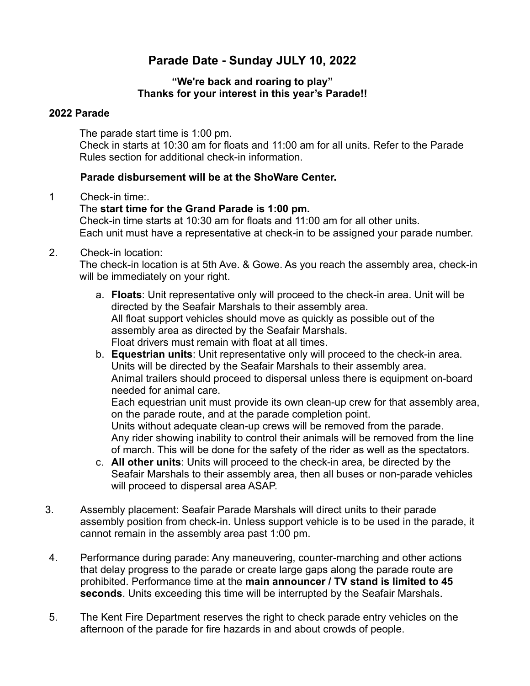# **Parade Date - Sunday JULY 10, 2022**

#### **"We're back and roaring to play" Thanks for your interest in this year's Parade!!**

#### **2022 Parade**

The parade start time is 1:00 pm. Check in starts at 10:30 am for floats and 11:00 am for all units. Refer to the Parade Rules section for additional check-in information.

## **Parade disbursement will be at the ShoWare Center.**

1 Check-in time:.

## The **start time for the Grand Parade is 1:00 pm.**

Check-in time starts at 10:30 am for floats and 11:00 am for all other units. Each unit must have a representative at check-in to be assigned your parade number.

## 2. Check-in location:

The check-in location is at 5th Ave. & Gowe. As you reach the assembly area, check-in will be immediately on your right.

- a. **Floats**: Unit representative only will proceed to the check-in area. Unit will be directed by the Seafair Marshals to their assembly area. All float support vehicles should move as quickly as possible out of the assembly area as directed by the Seafair Marshals. Float drivers must remain with float at all times.
- b. **Equestrian units**: Unit representative only will proceed to the check-in area. Units will be directed by the Seafair Marshals to their assembly area. Animal trailers should proceed to dispersal unless there is equipment on-board needed for animal care.

Each equestrian unit must provide its own clean-up crew for that assembly area, on the parade route, and at the parade completion point. Units without adequate clean-up crews will be removed from the parade. Any rider showing inability to control their animals will be removed from the line

of march. This will be done for the safety of the rider as well as the spectators.

- c. **All other units**: Units will proceed to the check-in area, be directed by the Seafair Marshals to their assembly area, then all buses or non-parade vehicles will proceed to dispersal area ASAP.
- 3. Assembly placement: Seafair Parade Marshals will direct units to their parade assembly position from check-in. Unless support vehicle is to be used in the parade, it cannot remain in the assembly area past 1:00 pm.
- 4. Performance during parade: Any maneuvering, counter-marching and other actions that delay progress to the parade or create large gaps along the parade route are prohibited. Performance time at the **main announcer / TV stand is limited to 45 seconds**. Units exceeding this time will be interrupted by the Seafair Marshals.
- 5. The Kent Fire Department reserves the right to check parade entry vehicles on the afternoon of the parade for fire hazards in and about crowds of people.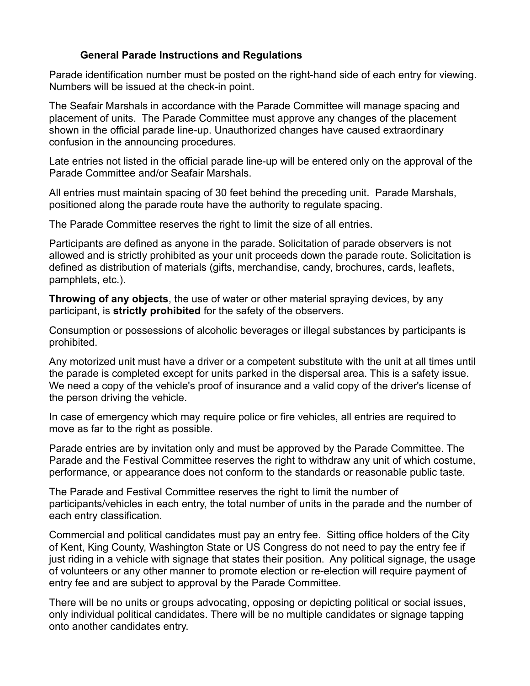## **General Parade Instructions and Regulations**

Parade identification number must be posted on the right-hand side of each entry for viewing. Numbers will be issued at the check-in point.

The Seafair Marshals in accordance with the Parade Committee will manage spacing and placement of units. The Parade Committee must approve any changes of the placement shown in the official parade line-up. Unauthorized changes have caused extraordinary confusion in the announcing procedures.

Late entries not listed in the official parade line-up will be entered only on the approval of the Parade Committee and/or Seafair Marshals.

All entries must maintain spacing of 30 feet behind the preceding unit. Parade Marshals, positioned along the parade route have the authority to regulate spacing.

The Parade Committee reserves the right to limit the size of all entries.

Participants are defined as anyone in the parade. Solicitation of parade observers is not allowed and is strictly prohibited as your unit proceeds down the parade route. Solicitation is defined as distribution of materials (gifts, merchandise, candy, brochures, cards, leaflets, pamphlets, etc.).

**Throwing of any objects**, the use of water or other material spraying devices, by any participant, is **strictly prohibited** for the safety of the observers.

Consumption or possessions of alcoholic beverages or illegal substances by participants is prohibited.

Any motorized unit must have a driver or a competent substitute with the unit at all times until the parade is completed except for units parked in the dispersal area. This is a safety issue. We need a copy of the vehicle's proof of insurance and a valid copy of the driver's license of the person driving the vehicle.

In case of emergency which may require police or fire vehicles, all entries are required to move as far to the right as possible.

Parade entries are by invitation only and must be approved by the Parade Committee. The Parade and the Festival Committee reserves the right to withdraw any unit of which costume, performance, or appearance does not conform to the standards or reasonable public taste.

The Parade and Festival Committee reserves the right to limit the number of participants/vehicles in each entry, the total number of units in the parade and the number of each entry classification.

Commercial and political candidates must pay an entry fee. Sitting office holders of the City of Kent, King County, Washington State or US Congress do not need to pay the entry fee if just riding in a vehicle with signage that states their position. Any political signage, the usage of volunteers or any other manner to promote election or re-election will require payment of entry fee and are subject to approval by the Parade Committee.

There will be no units or groups advocating, opposing or depicting political or social issues, only individual political candidates. There will be no multiple candidates or signage tapping onto another candidates entry.